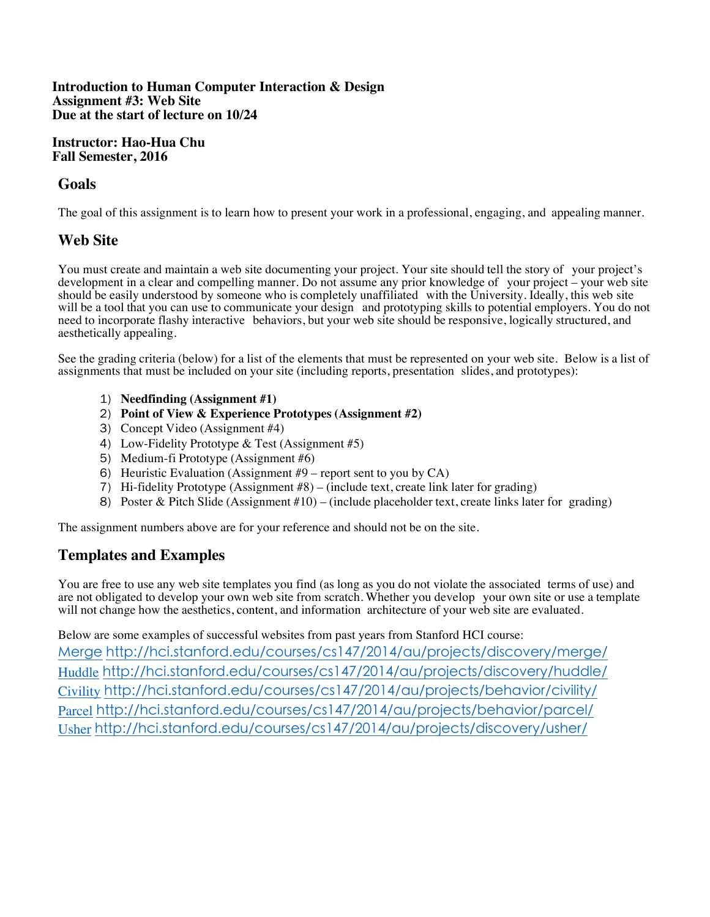#### **Introduction to Human Computer Interaction & Design Assignment #3: Web Site Due at the start of lecture on 10/24**

### **Instructor: Hao-Hua Chu Fall Semester, 2016**

## **Goals**

The goal of this assignment is to learn how to present your work in a professional, engaging, and appealing manner.

# **Web Site**

You must create and maintain a web site documenting your project. Your site should tell the story of your project's development in a clear and compelling manner. Do not assume any prior knowledge of your project – your web site should be easily understood by someone who is completely unaffiliated with the University. Ideally, this web site will be a tool that you can use to communicate your design and prototyping skills to potential employers. You do not need to incorporate flashy interactive behaviors, but your web site should be responsive, logically structured, and aesthetically appealing.

See the grading criteria (below) for a list of the elements that must be represented on your web site. Below is a list of assignments that must be included on your site (including reports, presentation slides, and prototypes):

- 1) **Needfinding (Assignment #1)**
- 2) **Point of View & Experience Prototypes (Assignment #2)**
- 3) Concept Video (Assignment #4)
- 4) Low-Fidelity Prototype & Test (Assignment #5)
- 5) Medium-fi Prototype (Assignment #6)
- 6) Heuristic Evaluation (Assignment #9 report sent to you by CA)
- 7) Hi-fidelity Prototype (Assignment #8) (include text, create link later for grading)
- 8) Poster & Pitch Slide (Assignment #10) (include placeholder text, create links later for grading)

The assignment numbers above are for your reference and should not be on the site.

## **Templates and Examples**

You are free to use any web site templates you find (as long as you do not violate the associated terms of use) and are not obligated to develop your own web site from scratch. Whether you develop your own site or use a template will not change how the aesthetics, content, and information architecture of your web site are evaluated.

Below are some examples of successful websites from past years from Stanford HCI course: Merge http://hci.stanford.edu/courses/cs147/2014/au/projects/discovery/merge/ Huddle http://hci.stanford.edu/courses/cs147/2014/au/projects/discovery/huddle/ Civility http://hci.stanford.edu/courses/cs147/2014/au/projects/behavior/civility/ Parcel http://hci.stanford.edu/courses/cs147/2014/au/projects/behavior/parcel/ Usher http://hci.stanford.edu/courses/cs147/2014/au/projects/discovery/usher/